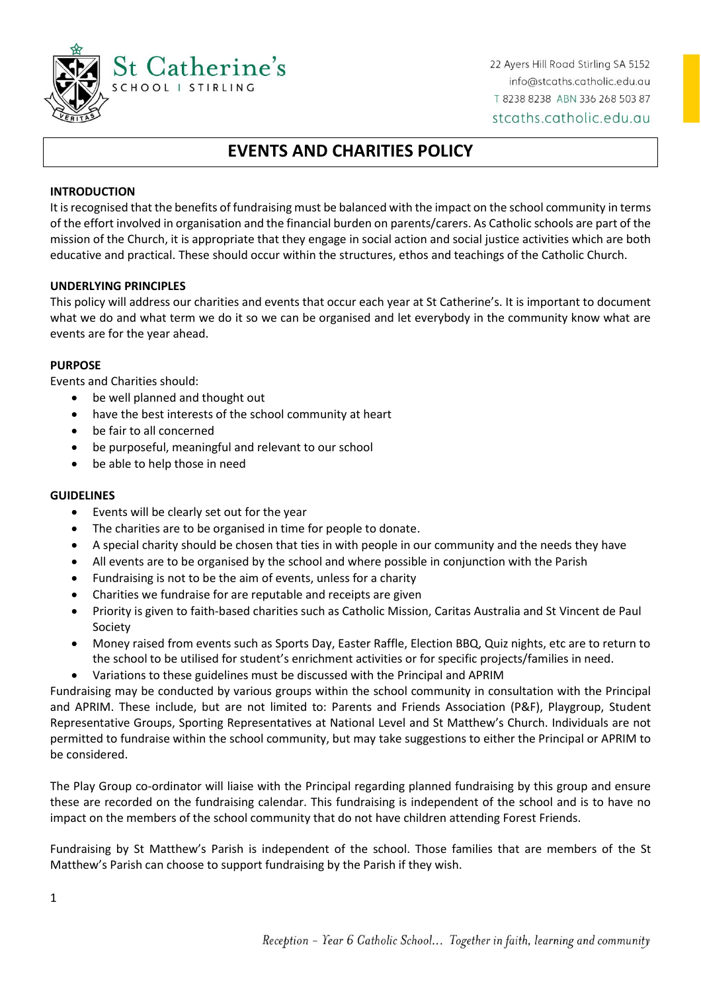

22 Ayers Hill Road Stirling SA 5152 info@stcaths.catholic.edu.au T 8238 8238 ABN 336 268 503 87 stcaths.catholic.edu.au

# **EVENTS AND CHARITIES POLICY**

# **INTRODUCTION**

It is recognised that the benefits of fundraising must be balanced with the impact on the school community in terms of the effort involved in organisation and the financial burden on parents/carers. As Catholic schools are part of the mission of the Church, it is appropriate that they engage in social action and social justice activities which are both educative and practical. These should occur within the structures, ethos and teachings of the Catholic Church.

## **UNDERLYING PRINCIPLES**

This policy will address our charities and events that occur each year at St Catherine's. It is important to document what we do and what term we do it so we can be organised and let everybody in the community know what are events are for the year ahead.

#### **PURPOSE**

Events and Charities should:

- be well planned and thought out
- have the best interests of the school community at heart
- be fair to all concerned
- be purposeful, meaningful and relevant to our school
- be able to help those in need

#### **GUIDELINES**

- Events will be clearly set out for the year
- The charities are to be organised in time for people to donate.
- A special charity should be chosen that ties in with people in our community and the needs they have
- All events are to be organised by the school and where possible in conjunction with the Parish
- Fundraising is not to be the aim of events, unless for a charity
- Charities we fundraise for are reputable and receipts are given
- Priority is given to faith-based charities such as Catholic Mission, Caritas Australia and St Vincent de Paul Society
- Money raised from events such as Sports Day, Easter Raffle, Election BBQ, Quiz nights, etc are to return to the school to be utilised for student's enrichment activities or for specific projects/families in need.
- Variations to these guidelines must be discussed with the Principal and APRIM

Fundraising may be conducted by various groups within the school community in consultation with the Principal and APRIM. These include, but are not limited to: Parents and Friends Association (P&F), Playgroup, Student Representative Groups, Sporting Representatives at National Level and St Matthew's Church. Individuals are not permitted to fundraise within the school community, but may take suggestions to either the Principal or APRIM to be considered.

The Play Group co-ordinator will liaise with the Principal regarding planned fundraising by this group and ensure these are recorded on the fundraising calendar. This fundraising is independent of the school and is to have no impact on the members of the school community that do not have children attending Forest Friends.

Fundraising by St Matthew's Parish is independent of the school. Those families that are members of the St Matthew's Parish can choose to support fundraising by the Parish if they wish.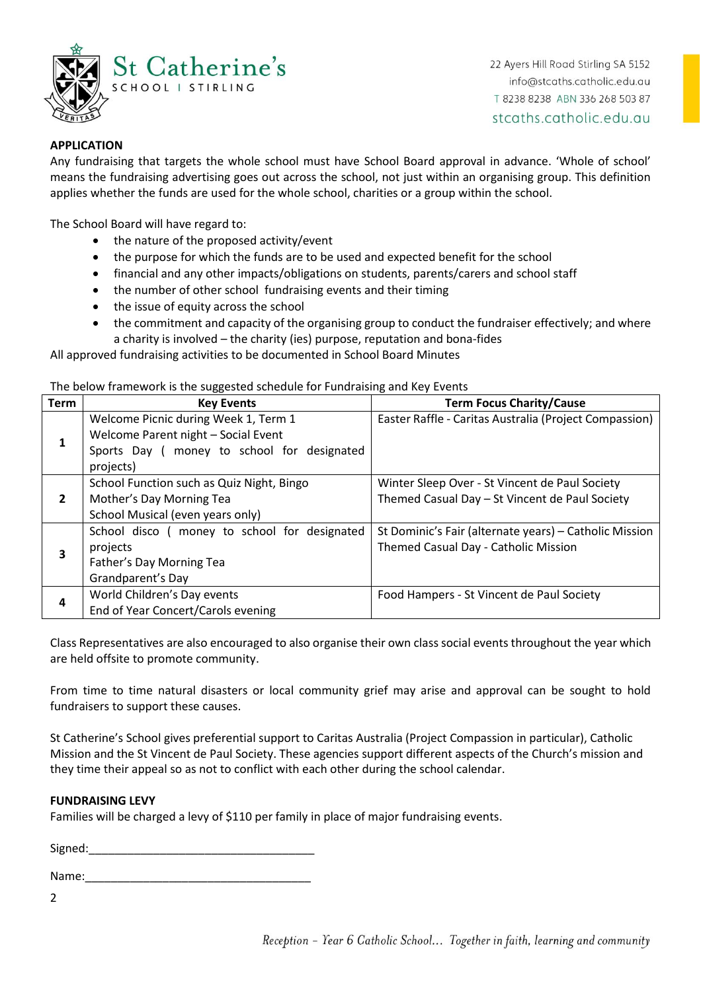

# **APPLICATION**

Any fundraising that targets the whole school must have School Board approval in advance. 'Whole of school' means the fundraising advertising goes out across the school, not just within an organising group. This definition applies whether the funds are used for the whole school, charities or a group within the school.

The School Board will have regard to:

- $\bullet$  the nature of the proposed activity/event
- the purpose for which the funds are to be used and expected benefit for the school
- financial and any other impacts/obligations on students, parents/carers and school staff
- the number of other school fundraising events and their timing
- the issue of equity across the school
- the commitment and capacity of the organising group to conduct the fundraiser effectively; and where a charity is involved – the charity (ies) purpose, reputation and bona-fides

All approved fundraising activities to be documented in School Board Minutes

The below framework is the suggested schedule for Fundraising and Key Events

| <b>Term</b>  | <b>Key Events</b>                             | <b>Term Focus Charity/Cause</b>                        |
|--------------|-----------------------------------------------|--------------------------------------------------------|
|              | Welcome Picnic during Week 1, Term 1          | Easter Raffle - Caritas Australia (Project Compassion) |
|              | Welcome Parent night - Social Event           |                                                        |
|              | Sports Day ( money to school for designated   |                                                        |
|              | projects)                                     |                                                        |
| $\mathbf{z}$ | School Function such as Quiz Night, Bingo     | Winter Sleep Over - St Vincent de Paul Society         |
|              | Mother's Day Morning Tea                      | Themed Casual Day - St Vincent de Paul Society         |
|              | School Musical (even years only)              |                                                        |
|              | School disco ( money to school for designated | St Dominic's Fair (alternate years) - Catholic Mission |
|              | projects                                      | Themed Casual Day - Catholic Mission                   |
|              | Father's Day Morning Tea                      |                                                        |
|              | Grandparent's Day                             |                                                        |
| 4            | World Children's Day events                   | Food Hampers - St Vincent de Paul Society              |
|              | End of Year Concert/Carols evening            |                                                        |

Class Representatives are also encouraged to also organise their own class social events throughout the year which are held offsite to promote community.

From time to time natural disasters or local community grief may arise and approval can be sought to hold fundraisers to support these causes.

St Catherine's School gives preferential support to Caritas Australia (Project Compassion in particular), Catholic Mission and the St Vincent de Paul Society. These agencies support different aspects of the Church's mission and they time their appeal so as not to conflict with each other during the school calendar.

## **FUNDRAISING LEVY**

Families will be charged a levy of \$110 per family in place of major fundraising events.

Signed:\_\_\_\_\_\_\_\_\_\_\_\_\_\_\_\_\_\_\_\_\_\_\_\_\_\_\_\_\_\_\_\_\_\_\_

Name:

2